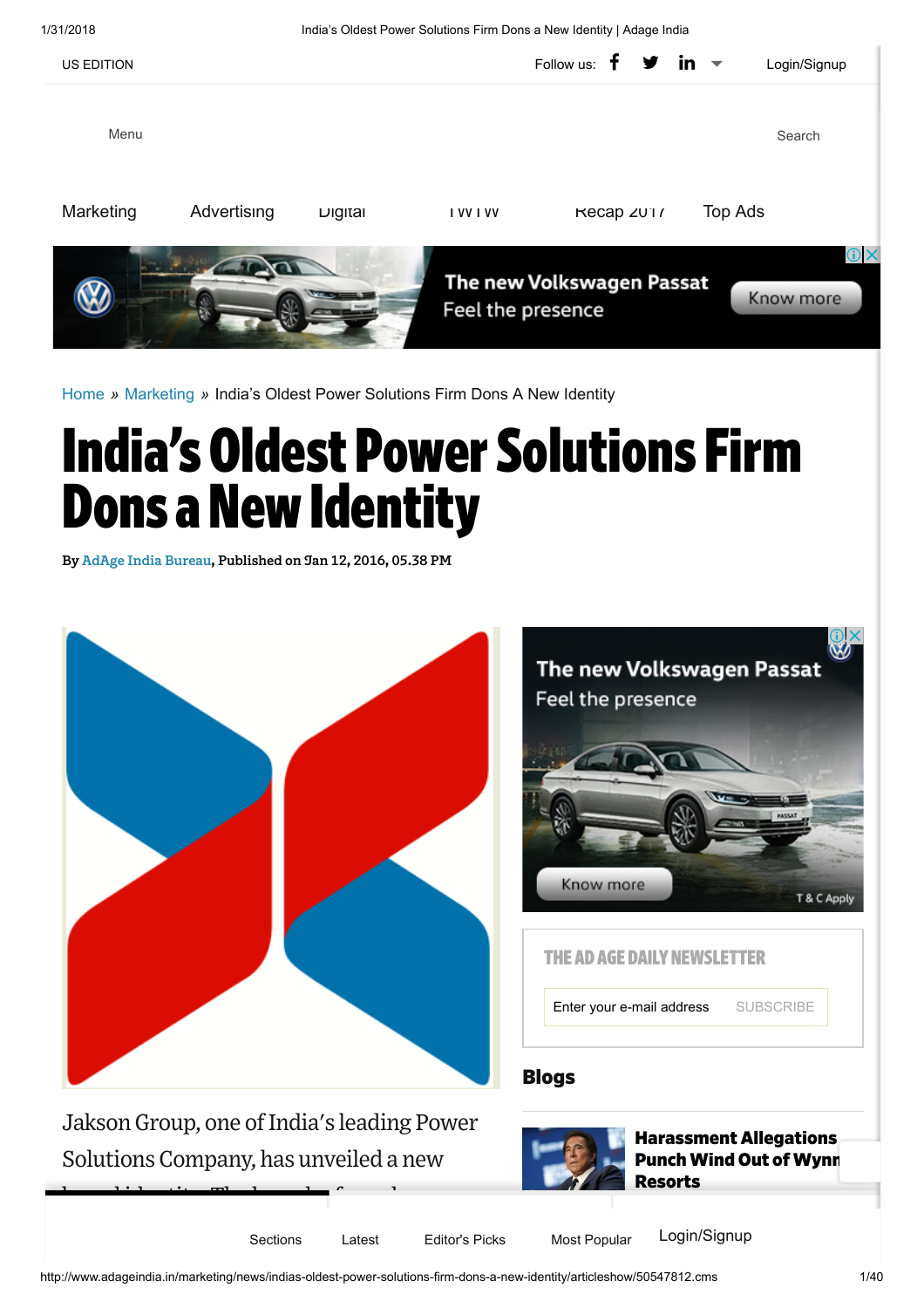1/31/2018 India's Oldest Power Solutions Firm Dons a New Identity | Adage India



[Home](http://www.adageindia.in/) » [Marketing](http://www.adageindia.in/marketing) » India's Oldest Power Solutions Firm Dons A New Identity

# **India's Oldest Power Solutions Firm Dons a New Identity**

By AdAge India Bureau, Published on Jan 12, 2016, 05.38 PM

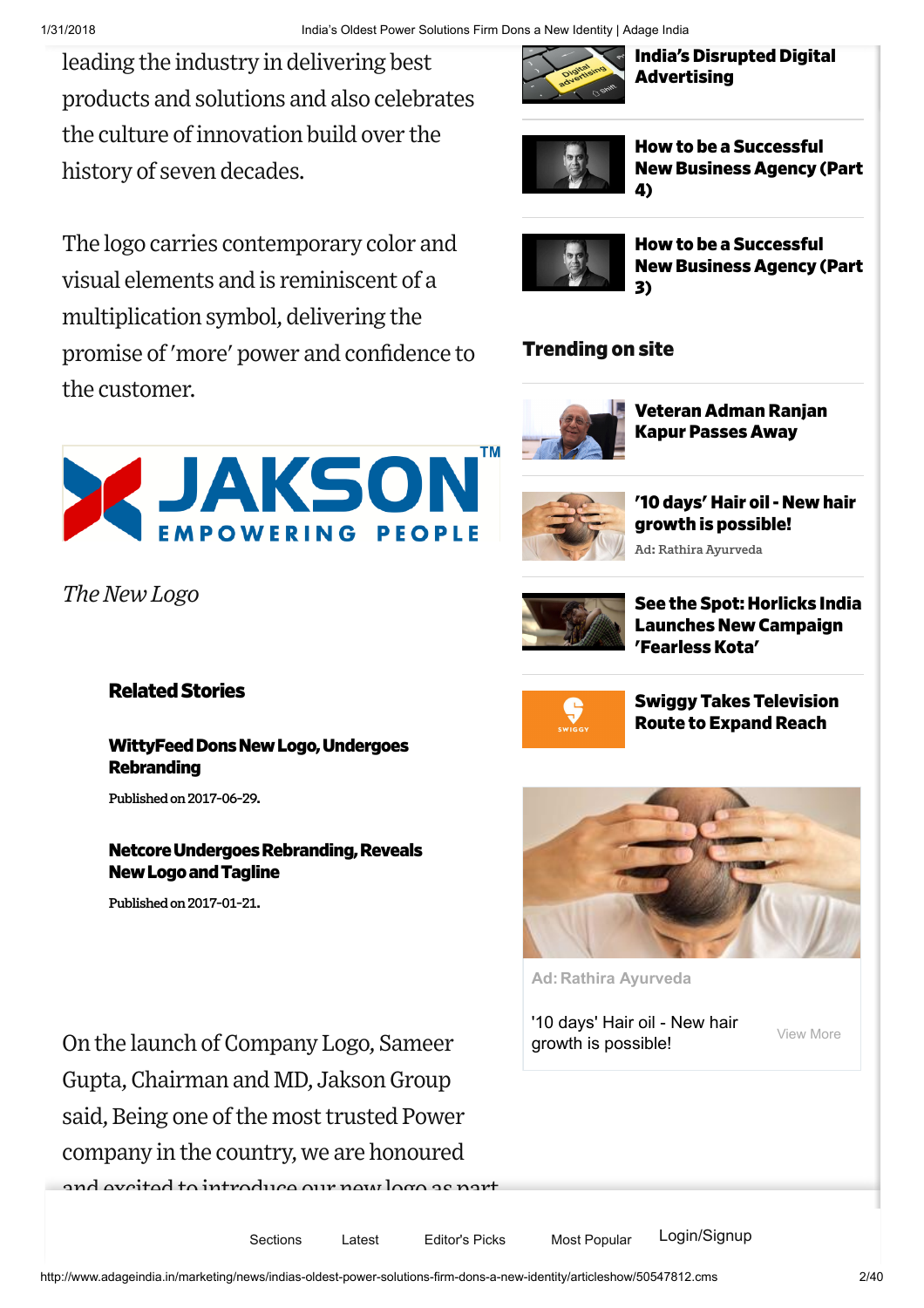leading the industry in delivering best products and solutions and also celebrates the culture ofinnovation build over the history of seven decades.

The logo carries contemporary color and visual elements and is reminiscent of a multiplication symbol, delivering the promise of'more' power and confidence to the customer.



*The NewLogo*

# **Related Stories**

WittyFeed Dons New Logo, Undergoes Rebranding

Published on 2017-06-29.

#### **Netcore Undergoes Rebranding, Reveals** NewLogoandTagline

Published on 2017-01-21.

On the launch of Company Logo, Sameer Gupta,Chairman and MD, JaksonGroup said, Being one of the most trusted Power company in the country, we are honoured

d excited to introduce our new lege as p



Sections Latest Editor's Picks Most Popular Login/Signup

How to be a [Successful](http://www.adageindia.in/blogs-columnists/viewpoint/how-to-be-a-successful-new-business-agency-part-4/articleshow/62592972.cms) New Business Agency (Part 4)

**India's Disrupted Digital** 

**Advertising** 



How to be a [Successful](http://www.adageindia.in/blogs-columnists/viewpoint/how-to-be-a-successful-new-business-agency-part-3/articleshow/62558174.cms) New Business Agency (Part 3)

### Trending on site



[Veteran](http://www.adageindia.in/veteran-adman-ranjan-kapur-passes-away/articleshow/62673236.cms) Adman Ranjan Kapur Passes Away



Ad: Rathira Ayurveda '10 days' Hair oil - New hair growth is possible!



See the Spot: Horlicks India Launches New Campaign ['FearlessKota'](http://www.adageindia.in/see-the-spot-horlicks-india-launches-new-campaign-fearless-kota/articleshow/62619706.cms)



Swiggy Takes [Television](http://www.adageindia.in/swiggy-takes-television-route-to-expand-reach/articleshow/62612583.cms) Route to Expand Reach



Ad: Rathira Ayurveda

['10 days' Hair oil - New hair](http://ade.clmbtech.com/evnt/click.htm?r=MmFkY2FiMDUtNGVkMy00OTFjLWE4YTMtNmU3MGJkNDM0ZjQxLTEwbnRkOjI2MTI5MzphbGwsOW5qOjE2NTA4MDgwOjE6MjAzOTQ5MjoxNjYwOjo6OC43NTowOjE6MTo0NDk3NjowOjo6MjoxMjIuMTYwLjEzMi4xNzg6TW96aWxsYS81LjAgKFdpbmRvd3MgTlQgMTAuMDsgV2luNjQ7IHg2NCkgQXBwbGVXZWJLaXQvNTM3LjM2IChLSFRNTCwgbGlrZSBHZWNrbykgQ2hyb21lLzYzLjAuMzIzOS4xMzIgU2FmYXJpLzUzNy4zNjo6MC4wOjA6MDo4ODQtMSw1NzQtMToxNjoxOjA6MDo0Ojo6MTUxNzM4NjEwNzA4ODpmYWxzZQ&fpc=fbd2824c-f77e-4243-a523-42d5082a2d74-10nqk&i=B734d988P520&s=http%253A%252F%252Fwww.adageindia.in%252Fmarketing%252Fnews%252Findias-oldest-power-solutions-firm-dons-a-new-identity%252Farticleshow%252F50547812.cms&u=https%3A%2F%2Fwww.10dayshairoil.com%2Fproduct%2Foil%2F%3Futm_source%3DColombia11%26utm_medium%3DCampaign11%26utm_campaign%3DCampaign11) growth is possible!

View More

http://www.adageindia.in/marketing/news/indias-oldest-power-solutions-firm-dons-a-new-identity/articleshow/50547812.cms 2/40